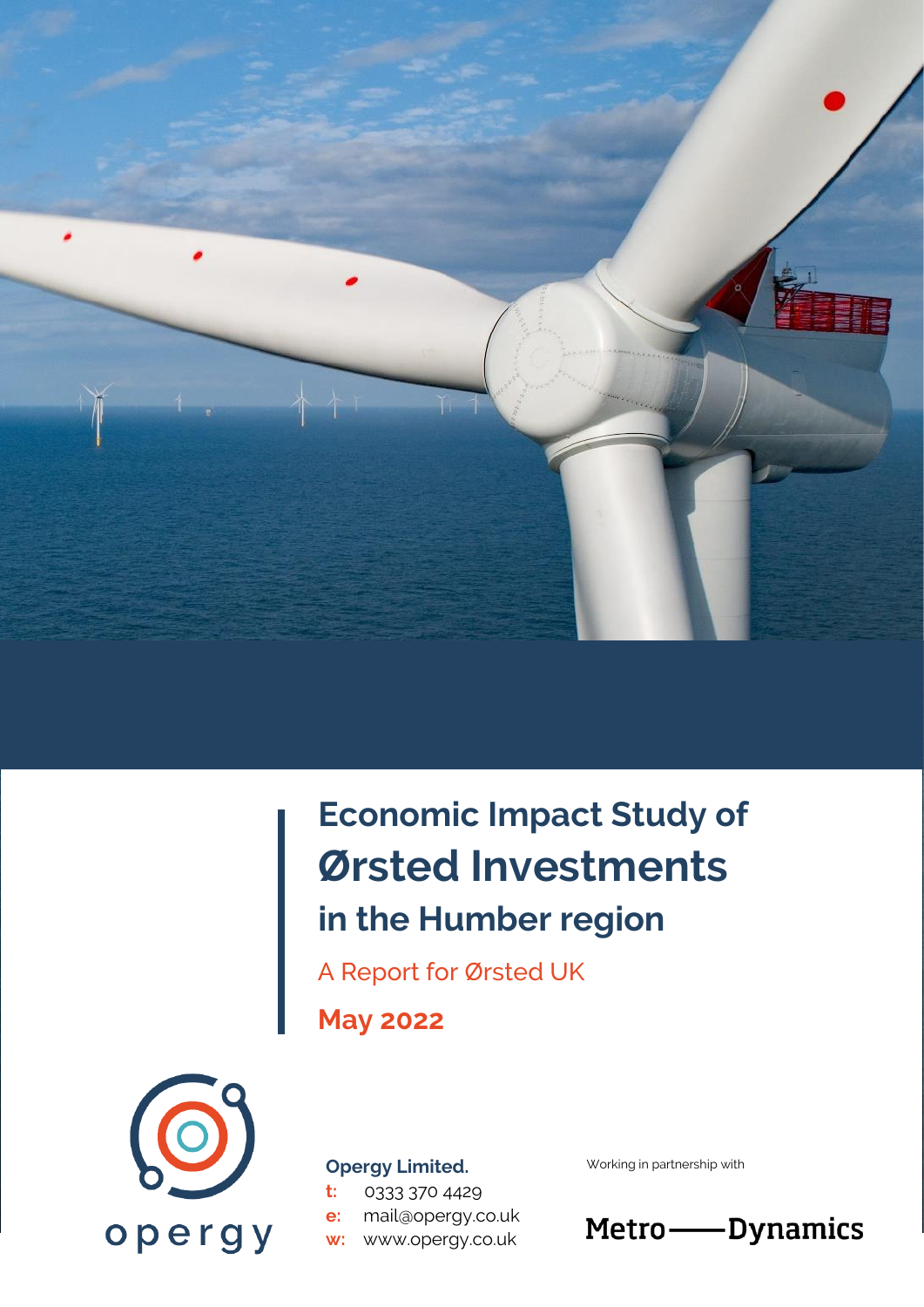

# **Economic Impact Study of Ørsted Investments in the Humber region**

A Report for Ørsted UK

**May 2022**



#### **Opergy Limited.**

**t:** 0333 370 4429 **e:** mail@opergy.co.uk **w:** www.opergy.co.uk

Working in partnership with

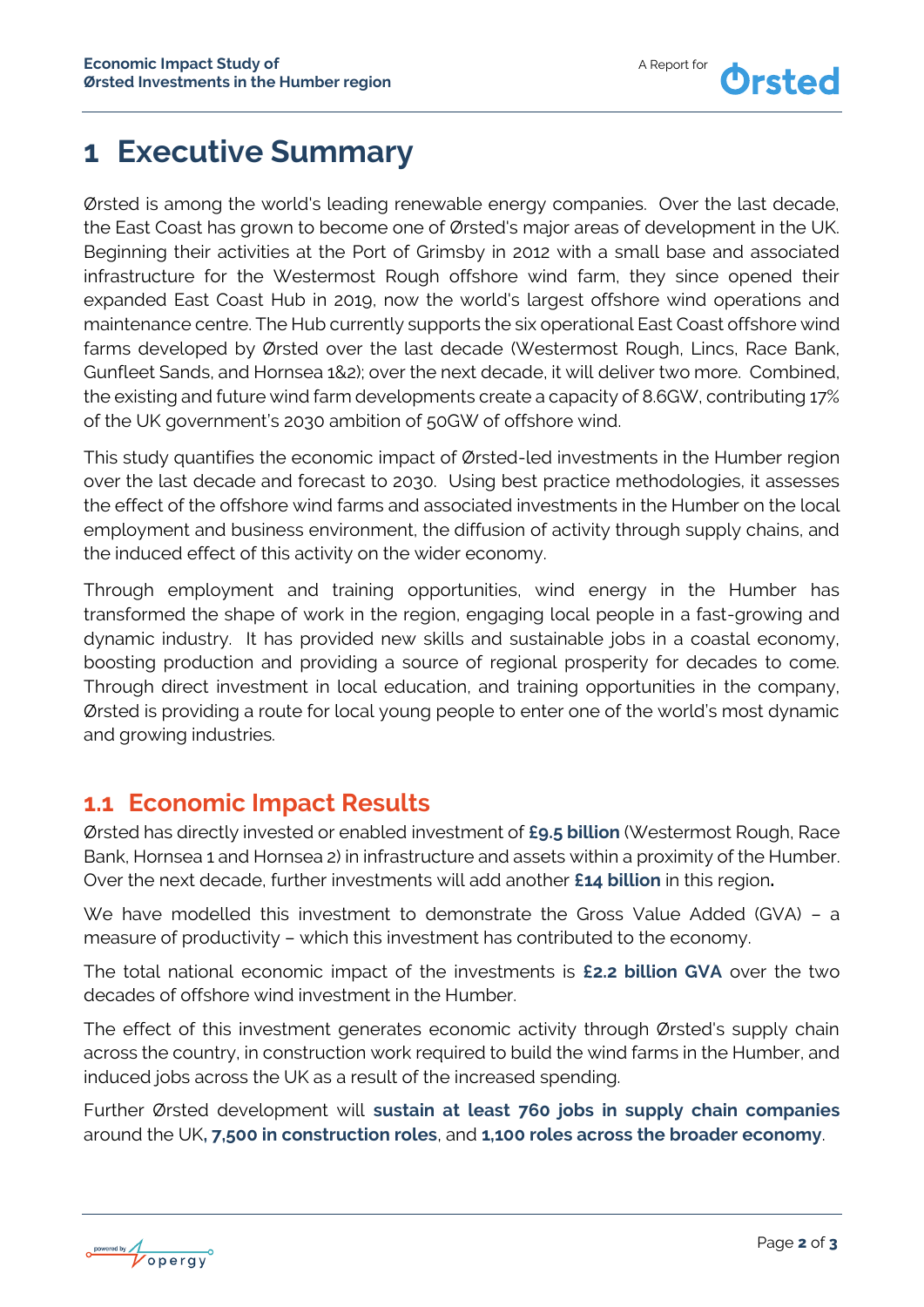## **1 Executive Summary**

Ørsted is among the world's leading renewable energy companies. Over the last decade, the East Coast has grown to become one of Ørsted's major areas of development in the UK. Beginning their activities at the Port of Grimsby in 2012 with a small base and associated infrastructure for the Westermost Rough offshore wind farm, they since opened their expanded East Coast Hub in 2019, now the world's largest offshore wind operations and maintenance centre. The Hub currently supports the six operational East Coast offshore wind farms developed by Ørsted over the last decade (Westermost Rough, Lincs, Race Bank, Gunfleet Sands, and Hornsea 1&2); over the next decade, it will deliver two more. Combined, the existing and future wind farm developments create a capacity of 8.6GW, contributing 17% of the UK government's 2030 ambition of 50GW of offshore wind.

This study quantifies the economic impact of Ørsted-led investments in the Humber region over the last decade and forecast to 2030. Using best practice methodologies, it assesses the effect of the offshore wind farms and associated investments in the Humber on the local employment and business environment, the diffusion of activity through supply chains, and the induced effect of this activity on the wider economy.

Through employment and training opportunities, wind energy in the Humber has transformed the shape of work in the region, engaging local people in a fast-growing and dynamic industry. It has provided new skills and sustainable jobs in a coastal economy, boosting production and providing a source of regional prosperity for decades to come. Through direct investment in local education, and training opportunities in the company, Ørsted is providing a route for local young people to enter one of the world's most dynamic and growing industries.

#### **1.1 Economic Impact Results**

Ørsted has directly invested or enabled investment of **£9.5 billion** (Westermost Rough, Race Bank, Hornsea 1 and Hornsea 2) in infrastructure and assets within a proximity of the Humber. Over the next decade, further investments will add another **£14 billion** in this region**.**

We have modelled this investment to demonstrate the Gross Value Added (GVA) – a measure of productivity – which this investment has contributed to the economy.

The total national economic impact of the investments is **£2.2 billion GVA** over the two decades of offshore wind investment in the Humber.

The effect of this investment generates economic activity through Ørsted's supply chain across the country, in construction work required to build the wind farms in the Humber, and induced jobs across the UK as a result of the increased spending.

Further Ørsted development will **sustain at least 760 jobs in supply chain companies** around the UK**, 7,500 in construction roles**, and **1,100 roles across the broader economy**.